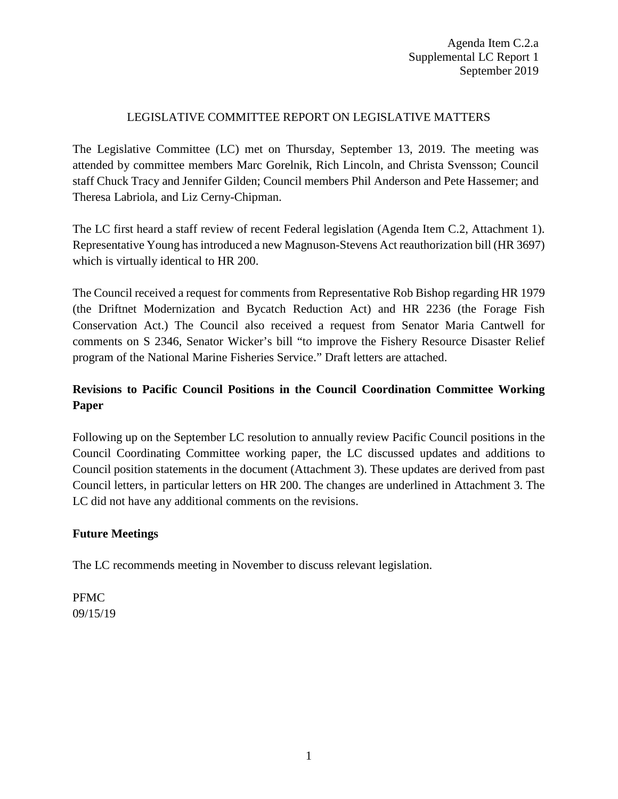# LEGISLATIVE COMMITTEE REPORT ON LEGISLATIVE MATTERS

The Legislative Committee (LC) met on Thursday, September 13, 2019. The meeting was attended by committee members Marc Gorelnik, Rich Lincoln, and Christa Svensson; Council staff Chuck Tracy and Jennifer Gilden; Council members Phil Anderson and Pete Hassemer; and Theresa Labriola, and Liz Cerny-Chipman.

The LC first heard a staff review of recent Federal legislation (Agenda Item C.2, Attachment 1). Representative Young has introduced a new Magnuson-Stevens Act reauthorization bill (HR 3697) which is virtually identical to HR 200.

The Council received a request for comments from Representative Rob Bishop regarding HR 1979 (the Driftnet Modernization and Bycatch Reduction Act) and HR 2236 (the Forage Fish Conservation Act.) The Council also received a request from Senator Maria Cantwell for comments on S 2346, Senator Wicker's bill "to improve the Fishery Resource Disaster Relief program of the National Marine Fisheries Service." Draft letters are attached.

# **Revisions to Pacific Council Positions in the Council Coordination Committee Working Paper**

Following up on the September LC resolution to annually review Pacific Council positions in the Council Coordinating Committee working paper, the LC discussed updates and additions to Council position statements in the document (Attachment 3). These updates are derived from past Council letters, in particular letters on HR 200. The changes are underlined in Attachment 3. The LC did not have any additional comments on the revisions.

## **Future Meetings**

The LC recommends meeting in November to discuss relevant legislation.

PFMC 09/15/19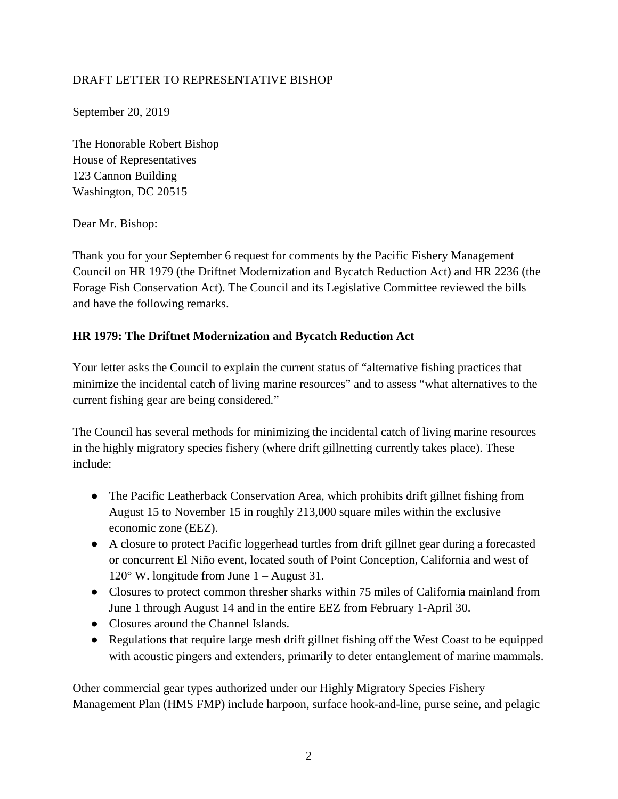# DRAFT LETTER TO REPRESENTATIVE BISHOP

September 20, 2019

The Honorable Robert Bishop House of Representatives 123 Cannon Building Washington, DC 20515

#### Dear Mr. Bishop:

Thank you for your September 6 request for comments by the Pacific Fishery Management Council on HR 1979 (the Driftnet Modernization and Bycatch Reduction Act) and HR 2236 (the Forage Fish Conservation Act). The Council and its Legislative Committee reviewed the bills and have the following remarks.

## **HR 1979: The Driftnet Modernization and Bycatch Reduction Act**

Your letter asks the Council to explain the current status of "alternative fishing practices that minimize the incidental catch of living marine resources" and to assess "what alternatives to the current fishing gear are being considered."

The Council has several methods for minimizing the incidental catch of living marine resources in the highly migratory species fishery (where drift gillnetting currently takes place). These include:

- The Pacific Leatherback Conservation Area, which prohibits drift gillnet fishing from August 15 to November 15 in roughly 213,000 square miles within the exclusive economic zone (EEZ).
- A closure to protect Pacific loggerhead turtles from drift gillnet gear during a forecasted or concurrent El Niño event, located south of Point Conception, California and west of 120° W. longitude from June 1 – August 31.
- Closures to protect common thresher sharks within 75 miles of California mainland from June 1 through August 14 and in the entire EEZ from February 1-April 30.
- Closures around the Channel Islands.
- Regulations that require large mesh drift gillnet fishing off the West Coast to be equipped with acoustic pingers and extenders, primarily to deter entanglement of marine mammals.

Other commercial gear types authorized under our Highly Migratory Species Fishery Management Plan (HMS FMP) include harpoon, surface hook-and-line, purse seine, and pelagic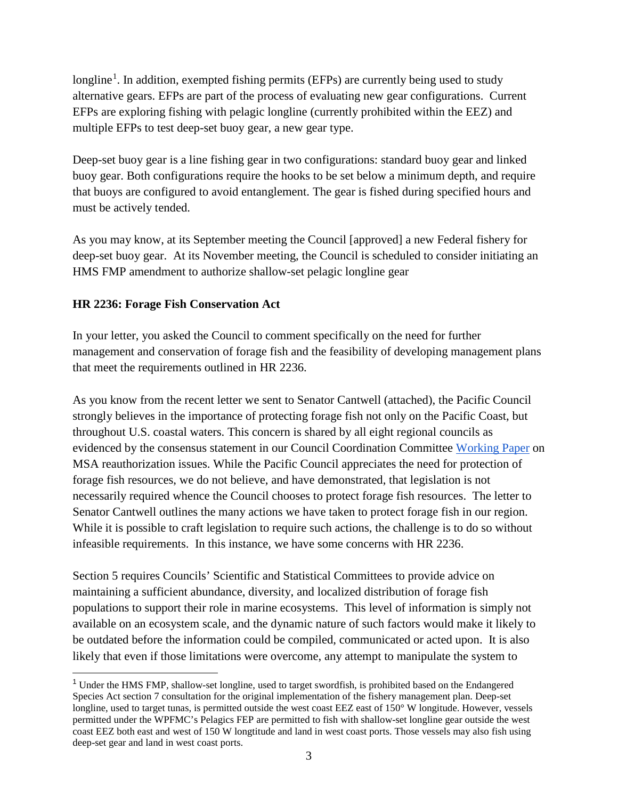longline<sup>[1](#page-2-0)</sup>. In addition, exempted fishing permits (EFPs) are currently being used to study alternative gears. EFPs are part of the process of evaluating new gear configurations. Current EFPs are exploring fishing with pelagic longline (currently prohibited within the EEZ) and multiple EFPs to test deep-set buoy gear, a new gear type.

Deep-set buoy gear is a line fishing gear in two configurations: standard buoy gear and linked buoy gear. Both configurations require the hooks to be set below a minimum depth, and require that buoys are configured to avoid entanglement. The gear is fished during specified hours and must be actively tended.

As you may know, at its September meeting the Council [approved] a new Federal fishery for deep-set buoy gear. At its November meeting, the Council is scheduled to consider initiating an HMS FMP amendment to authorize shallow-set pelagic longline gear

# **HR 2236: Forage Fish Conservation Act**

In your letter, you asked the Council to comment specifically on the need for further management and conservation of forage fish and the feasibility of developing management plans that meet the requirements outlined in HR 2236.

As you know from the recent letter we sent to Senator Cantwell (attached), the Pacific Council strongly believes in the importance of protecting forage fish not only on the Pacific Coast, but throughout U.S. coastal waters. This concern is shared by all eight regional councils as evidenced by the consensus statement in our Council Coordination Committee [Working Paper](https://static1.squarespace.com/static/56c65ea3f2b77e3a78d3441e/t/5b646a2e352f53457955224f/1533307440298/CCCWorkingPaper052418.pdf) on MSA reauthorization issues. While the Pacific Council appreciates the need for protection of forage fish resources, we do not believe, and have demonstrated, that legislation is not necessarily required whence the Council chooses to protect forage fish resources. The letter to Senator Cantwell outlines the many actions we have taken to protect forage fish in our region. While it is possible to craft legislation to require such actions, the challenge is to do so without infeasible requirements. In this instance, we have some concerns with HR 2236.

Section 5 requires Councils' Scientific and Statistical Committees to provide advice on maintaining a sufficient abundance, diversity, and localized distribution of forage fish populations to support their role in marine ecosystems. This level of information is simply not available on an ecosystem scale, and the dynamic nature of such factors would make it likely to be outdated before the information could be compiled, communicated or acted upon. It is also likely that even if those limitations were overcome, any attempt to manipulate the system to

<span id="page-2-0"></span><sup>&</sup>lt;sup>1</sup> Under the HMS FMP, shallow-set longline, used to target swordfish, is prohibited based on the Endangered Species Act section 7 consultation for the original implementation of the fishery management plan. Deep-set longline, used to target tunas, is permitted outside the west coast EEZ east of 150° W longitude. However, vessels permitted under the WPFMC's Pelagics FEP are permitted to fish with shallow-set longline gear outside the west coast EEZ both east and west of 150 W longtitude and land in west coast ports. Those vessels may also fish using deep-set gear and land in west coast ports.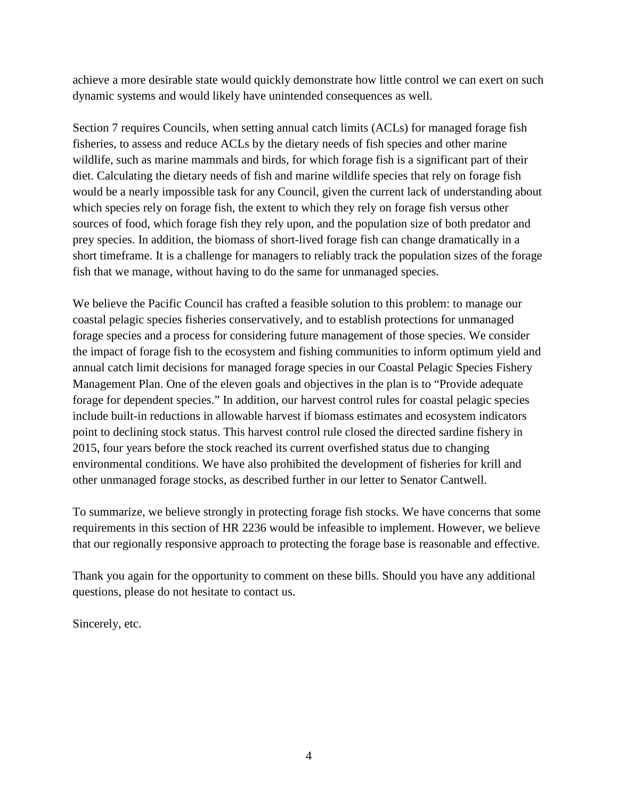achieve a more desirable state would quickly demonstrate how little control we can exert on such dynamic systems and would likely have unintended consequences as well.

Section 7 requires Councils, when setting annual catch limits (ACLs) for managed forage fish fisheries, to assess and reduce ACLs by the dietary needs of fish species and other marine wildlife, such as marine mammals and birds, for which forage fish is a significant part of their diet. Calculating the dietary needs of fish and marine wildlife species that rely on forage fish would be a nearly impossible task for any Council, given the current lack of understanding about which species rely on forage fish, the extent to which they rely on forage fish versus other sources of food, which forage fish they rely upon, and the population size of both predator and prey species. In addition, the biomass of short-lived forage fish can change dramatically in a short timeframe. It is a challenge for managers to reliably track the population sizes of the forage fish that we manage, without having to do the same for unmanaged species.

We believe the Pacific Council has crafted a feasible solution to this problem: to manage our coastal pelagic species fisheries conservatively, and to establish protections for unmanaged forage species and a process for considering future management of those species. We consider the impact of forage fish to the ecosystem and fishing communities to inform optimum yield and annual catch limit decisions for managed forage species in our Coastal Pelagic Species Fishery Management Plan. One of the eleven goals and objectives in the plan is to "Provide adequate forage for dependent species." In addition, our harvest control rules for coastal pelagic species include built-in reductions in allowable harvest if biomass estimates and ecosystem indicators point to declining stock status. This harvest control rule closed the directed sardine fishery in 2015, four years before the stock reached its current overfished status due to changing environmental conditions. We have also prohibited the development of fisheries for krill and other unmanaged forage stocks, as described further in our letter to Senator Cantwell.

To summarize, we believe strongly in protecting forage fish stocks. We have concerns that some requirements in this section of HR 2236 would be infeasible to implement. However, we believe that our regionally responsive approach to protecting the forage base is reasonable and effective.

Thank you again for the opportunity to comment on these bills. Should you have any additional questions, please do not hesitate to contact us.

Sincerely, etc.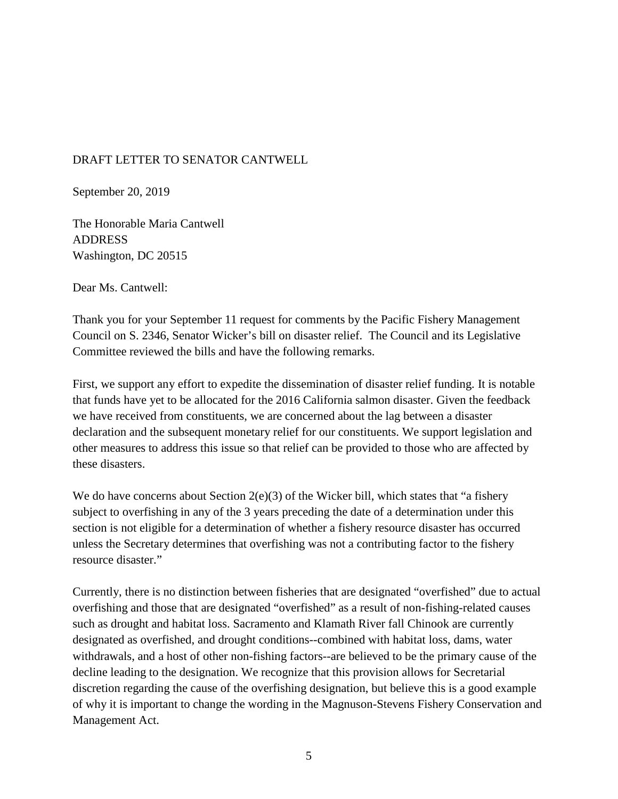#### DRAFT LETTER TO SENATOR CANTWELL

September 20, 2019

The Honorable Maria Cantwell ADDRESS Washington, DC 20515

Dear Ms. Cantwell:

Thank you for your September 11 request for comments by the Pacific Fishery Management Council on S. 2346, Senator Wicker's bill on disaster relief. The Council and its Legislative Committee reviewed the bills and have the following remarks.

First, we support any effort to expedite the dissemination of disaster relief funding. It is notable that funds have yet to be allocated for the 2016 California salmon disaster. Given the feedback we have received from constituents, we are concerned about the lag between a disaster declaration and the subsequent monetary relief for our constituents. We support legislation and other measures to address this issue so that relief can be provided to those who are affected by these disasters.

We do have concerns about Section  $2(e)(3)$  of the Wicker bill, which states that "a fishery" subject to overfishing in any of the 3 years preceding the date of a determination under this section is not eligible for a determination of whether a fishery resource disaster has occurred unless the Secretary determines that overfishing was not a contributing factor to the fishery resource disaster."

Currently, there is no distinction between fisheries that are designated "overfished" due to actual overfishing and those that are designated "overfished" as a result of non-fishing-related causes such as drought and habitat loss. Sacramento and Klamath River fall Chinook are currently designated as overfished, and drought conditions--combined with habitat loss, dams, water withdrawals, and a host of other non-fishing factors--are believed to be the primary cause of the decline leading to the designation. We recognize that this provision allows for Secretarial discretion regarding the cause of the overfishing designation, but believe this is a good example of why it is important to change the wording in the Magnuson-Stevens Fishery Conservation and Management Act.